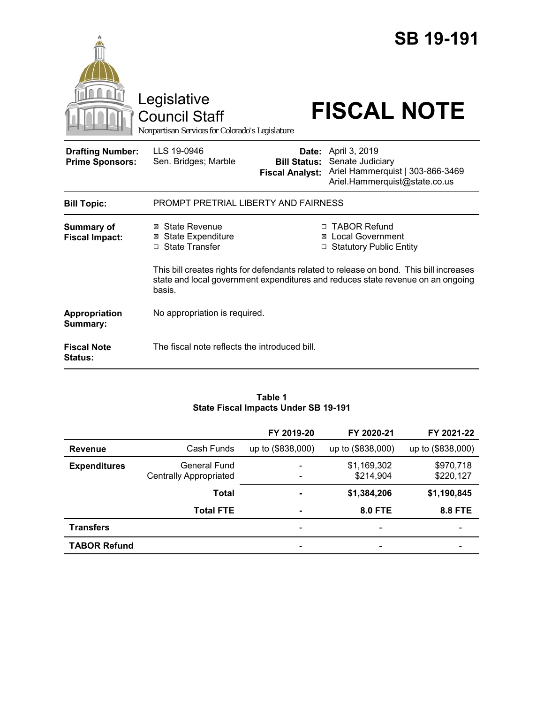

#### **Table 1 State Fiscal Impacts Under SB 19-191**

|                     |                                               | FY 2019-20               | FY 2020-21               | FY 2021-22               |
|---------------------|-----------------------------------------------|--------------------------|--------------------------|--------------------------|
| <b>Revenue</b>      | Cash Funds                                    | up to (\$838,000)        | up to (\$838,000)        | up to (\$838,000)        |
| <b>Expenditures</b> | General Fund<br><b>Centrally Appropriated</b> | ٠<br>$\overline{a}$      | \$1,169,302<br>\$214,904 | \$970,718<br>\$220,127   |
|                     | <b>Total</b>                                  | $\overline{\phantom{a}}$ | \$1,384,206              | \$1,190,845              |
|                     | <b>Total FTE</b>                              | $\blacksquare$           | <b>8.0 FTE</b>           | <b>8.8 FTE</b>           |
| <b>Transfers</b>    |                                               | $\overline{\phantom{a}}$ | $\overline{\phantom{0}}$ | $\overline{\phantom{0}}$ |
| <b>TABOR Refund</b> |                                               | ۰                        | -                        |                          |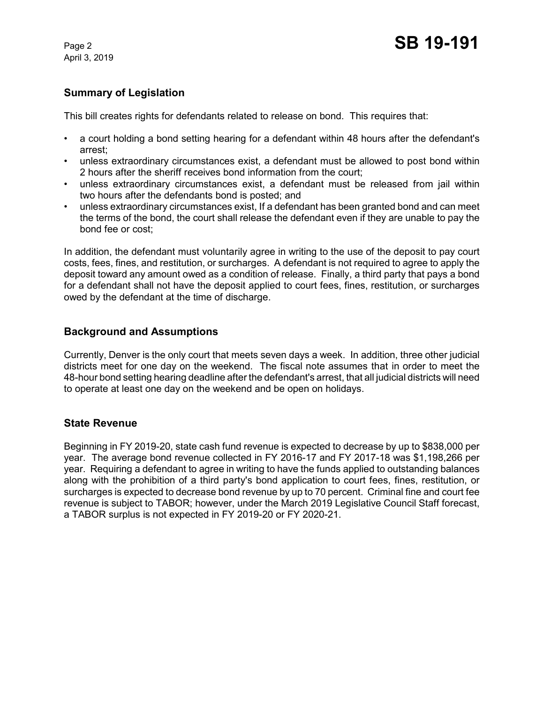April 3, 2019

# **Summary of Legislation**

This bill creates rights for defendants related to release on bond. This requires that:

- a court holding a bond setting hearing for a defendant within 48 hours after the defendant's arrest;
- unless extraordinary circumstances exist, a defendant must be allowed to post bond within 2 hours after the sheriff receives bond information from the court;
- unless extraordinary circumstances exist, a defendant must be released from jail within two hours after the defendants bond is posted; and
- unless extraordinary circumstances exist, If a defendant has been granted bond and can meet the terms of the bond, the court shall release the defendant even if they are unable to pay the bond fee or cost;

In addition, the defendant must voluntarily agree in writing to the use of the deposit to pay court costs, fees, fines, and restitution, or surcharges. A defendant is not required to agree to apply the deposit toward any amount owed as a condition of release. Finally, a third party that pays a bond for a defendant shall not have the deposit applied to court fees, fines, restitution, or surcharges owed by the defendant at the time of discharge.

## **Background and Assumptions**

Currently, Denver is the only court that meets seven days a week. In addition, three other judicial districts meet for one day on the weekend. The fiscal note assumes that in order to meet the 48-hour bond setting hearing deadline after the defendant's arrest, that all judicial districts will need to operate at least one day on the weekend and be open on holidays.

## **State Revenue**

Beginning in FY 2019-20, state cash fund revenue is expected to decrease by up to \$838,000 per year. The average bond revenue collected in FY 2016-17 and FY 2017-18 was \$1,198,266 per year. Requiring a defendant to agree in writing to have the funds applied to outstanding balances along with the prohibition of a third party's bond application to court fees, fines, restitution, or surcharges is expected to decrease bond revenue by up to 70 percent. Criminal fine and court fee revenue is subject to TABOR; however, under the March 2019 Legislative Council Staff forecast, a TABOR surplus is not expected in FY 2019-20 or FY 2020-21.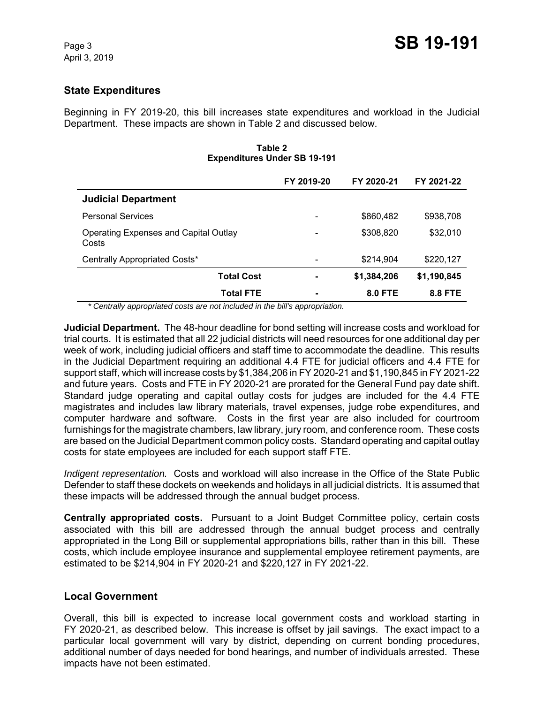## **State Expenditures**

Beginning in FY 2019-20, this bill increases state expenditures and workload in the Judicial Department. These impacts are shown in Table 2 and discussed below.

| <b>Expenditures Under SB 19-191</b>            |            |                |                |  |  |
|------------------------------------------------|------------|----------------|----------------|--|--|
|                                                | FY 2019-20 | FY 2020-21     | FY 2021-22     |  |  |
| <b>Judicial Department</b>                     |            |                |                |  |  |
| <b>Personal Services</b>                       |            | \$860,482      | \$938,708      |  |  |
| Operating Expenses and Capital Outlay<br>Costs |            | \$308,820      | \$32,010       |  |  |
| Centrally Appropriated Costs*                  |            | \$214.904      | \$220,127      |  |  |
| <b>Total Cost</b>                              |            | \$1,384,206    | \$1,190,845    |  |  |
| <b>Total FTE</b>                               |            | <b>8.0 FTE</b> | <b>8.8 FTE</b> |  |  |

### **Table 2 Expenditures Under SB 19-191**

 *\* Centrally appropriated costs are not included in the bill's appropriation.*

**Judicial Department.** The 48-hour deadline for bond setting will increase costs and workload for trial courts. It is estimated that all 22 judicial districts will need resources for one additional day per week of work, including judicial officers and staff time to accommodate the deadline. This results in the Judicial Department requiring an additional 4.4 FTE for judicial officers and 4.4 FTE for support staff, which will increase costs by \$1,384,206 in FY 2020-21 and \$1,190,845 in FY 2021-22 and future years. Costs and FTE in FY 2020-21 are prorated for the General Fund pay date shift. Standard judge operating and capital outlay costs for judges are included for the 4.4 FTE magistrates and includes law library materials, travel expenses, judge robe expenditures, and computer hardware and software. Costs in the first year are also included for courtroom furnishings for the magistrate chambers, law library, jury room, and conference room. These costs are based on the Judicial Department common policy costs. Standard operating and capital outlay costs for state employees are included for each support staff FTE.

*Indigent representation.* Costs and workload will also increase in the Office of the State Public Defender to staff these dockets on weekends and holidays in all judicial districts. It is assumed that these impacts will be addressed through the annual budget process.

**Centrally appropriated costs.** Pursuant to a Joint Budget Committee policy, certain costs associated with this bill are addressed through the annual budget process and centrally appropriated in the Long Bill or supplemental appropriations bills, rather than in this bill. These costs, which include employee insurance and supplemental employee retirement payments, are estimated to be \$214,904 in FY 2020-21 and \$220,127 in FY 2021-22.

## **Local Government**

Overall, this bill is expected to increase local government costs and workload starting in FY 2020-21, as described below. This increase is offset by jail savings. The exact impact to a particular local government will vary by district, depending on current bonding procedures, additional number of days needed for bond hearings, and number of individuals arrested. These impacts have not been estimated.